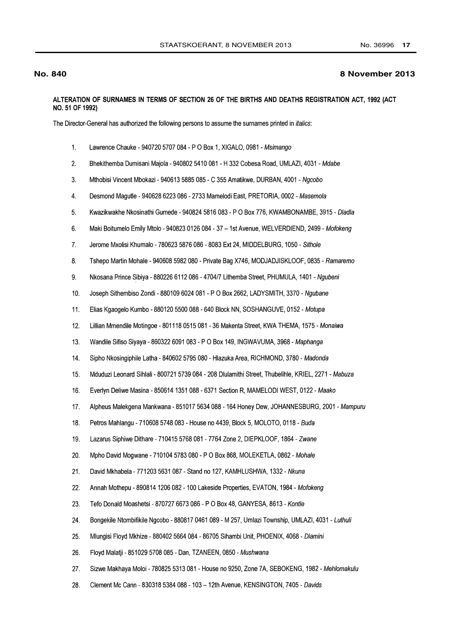## **No. 840**

## 8 November 2013

## ALTERATION OF SURNAMES IN TERMS OF SECTION 26 OF THE BIRTHS AND DEATHS REGISTRATION ACT, 1992 (ACT NO. 51 OF 1992)

The Director-General has authorized the following persons to assume the surnames printed in *italics*:

- $1<sub>1</sub>$ Lawrence Chauke - 940720 5707 084 - P O Box 1, XIGALO, 0981 - Msimango
- $\overline{2}$ Bhekithemba Dumisani Majola - 940802 5410 081 - H 332 Cobesa Road, UMLAZI, 4031 - Mdabe
- $3.$ Mthobisi Vincent Mbokazi - 940613 5885 085 - C 355 Amatikwe, DURBAN, 4001 - Ngcobo
- $4.$ Desmond Magutle - 940628 6223 086 - 2733 Mamelodi East, PRETORIA, 0002 - Masemola
- $5<sub>1</sub>$ Kwazikwakhe Nkosinathi Gumede - 940824 5816 083 - P O Box 776, KWAMBONAMBE, 3915 - Dladla
- $6.$ Maki Boitumelo Emily Mtolo - 940823 0126 084 - 37 - 1st Avenue, WELVERDIEND, 2499 - Mofokeng
- $7.$ Jerome Mxolisi Khumalo - 780623 5876 086 - 8083 Ext 24, MIDDELBURG, 1050 - Sithole
- $8.$ Tshepo Martin Mohale - 940608 5982 080 - Private Bag X746, MODJADJISKLOOF, 0835 - Ramaremo
- $9<sub>1</sub>$ Nkosana Prince Sibiya - 880226 6112 086 - 4704/7 Lithemba Street, PHUMULA, 1401 - Ngubeni
- $10.$ Joseph Sithembiso Zondi - 880109 6024 081 - P O Box 2662, LADYSMITH, 3370 - Ngubane
- Elias Kgaogelo Kumbo 880120 5500 088 640 Block NN, SOSHANGUVE, 0152 Motupa 11.
- $12.$ Lillian Mmendile Motingoe - 801118 0515 081 - 36 Makenta Street, KWA THEMA, 1575 - Monaiwa
- $13.$ Wandile Sifiso Siyaya - 860322 6091 083 - P O Box 149, INGWAVUMA, 3968 - Maphanga
- Sipho Nkosingiphile Latha 840602 5795 080 Hlazuka Area, RICHMOND, 3780 Madonda 14.
- 15. Mduduzi Leonard Sihlali - 800721 5739 084 - 208 Dlulamithi Street, Thubelihle, KRIEL, 2271 - Mabuza
- Everlyn Deliwe Masina 850614 1351 088 6371 Section R, MAMELODI WEST, 0122 Maako 16.
- Alpheus Malekgena Mankwana 851017 5634 088 164 Honey Dew, JOHANNESBURG, 2001 Mampuru  $17.$
- 18. Petros Mahlangu - 710608 5748 083 - House no 4439, Block 5, MOLOTO, 0118 - Buda
- 19. Lazarus Siphiwe Dithare - 710415 5768 081 - 7764 Zone 2, DIEPKLOOF, 1864 - Zwane
- 20. Mpho David Mogwane - 710104 5783 080 - P O Box 868, MOLEKETLA, 0862 - Mohale
- $21.$ David Mkhabela - 771203 5631 087 - Stand no 127, KAMHLUSHWA, 1332 - Nkuna
- 22. Annah Mothepu - 890814 1206 082 - 100 Lakeside Properties, EVATON, 1984 - Mofokeng
- 23. Tefo Donald Moashetsi - 870727 6673 086 - P O Box 48, GANYESA, 8613 - Kontle
- 24. Bongekile Ntombifikile Ngcobo - 880817 0461 089 - M 257, Umlazi Township, UMLAZI, 4031 - Luthuli
- 25. Mlungisi Floyd Mkhize - 880402 5664 084 - 86705 Sihambi Unit, PHOENIX, 4068 - Dlamini
- 26. Floyd Malatji - 851029 5708 085 - Dan, TZANEEN, 0850 - Mushwana
- 27. Sizwe Makhaya Moloi - 780825 5313 081 - House no 9250, Zone 7A, SEBOKENG, 1982 - Mehlomakulu
- 28. Clement Mc Cann - 830318 5384 088 - 103 - 12th Avenue, KENSINGTON, 7405 - Davids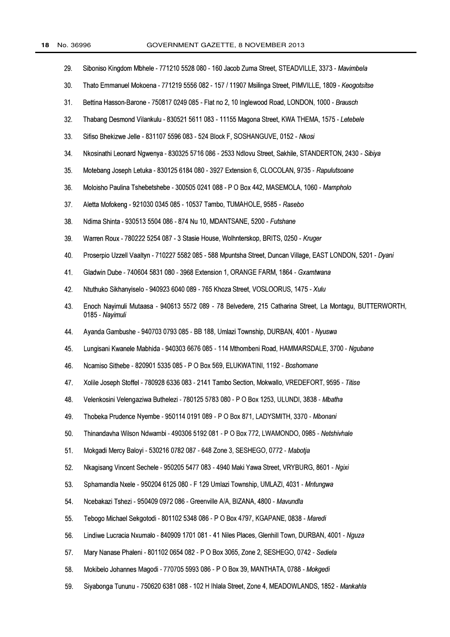- 29. Siboniso Kingdom Mbhele - 771210 5528 080 - 160 Jacob Zuma Street, STEADVILLE, 3373 - Mavimbela
- $30.$ Thato Emmanuel Mokoena - 771219 5556 082 - 157 / 11907 Msilinga Street, PIMVILLE, 1809 - Keogotsitse
- $31.$ Bettina Hasson-Barone - 750817 0249 085 - Flat no 2, 10 Inglewood Road, LONDON, 1000 - Brausch
- 32. Thabang Desmond Vilankulu - 830521 5611 083 - 11155 Magona Street, KWA THEMA, 1575 - Letebele
- $33.$ Sifiso Bhekizwe Jelle - 831107 5596 083 - 524 Block F, SOSHANGUVE, 0152 - Nkosi
- 34. Nkosinathi Leonard Ngwenya - 830325 5716 086 - 2533 Ndlovu Street, Sakhile, STANDERTON, 2430 - Sibiya
- 35. Motebang Joseph Letuka - 830125 6184 080 - 3927 Extension 6, CLOCOLAN, 9735 - Rapulutsoane
- 36. Moloisho Paulina Tshebetshebe - 300505 0241 088 - P O Box 442, MASEMOLA, 1060 - Mampholo
- $37.$ Aletta Mofokeng - 921030 0345 085 - 10537 Tambo, TUMAHOLE, 9585 - Rasebo
- 38. Ndima Shinta - 930513 5504 086 - 874 Nu 10, MDANTSANE, 5200 - Futshane
- 39. Warren Roux - 780222 5254 087 - 3 Stasie House, Wolhnterskop, BRITS, 0250 - Kruger
- 40. Proserpio Uzzell Vaaltyn - 710227 5582 085 - 588 Mpuntsha Street, Duncan Village, EAST LONDON, 5201 - Dyani
- 41. Gladwin Dube - 740604 5831 080 - 3968 Extension 1, ORANGE FARM, 1864 - Gxamtwana
- 42. Ntuthuko Sikhanyiselo - 940923 6040 089 - 765 Khoza Street, VOSLOORUS, 1475 - Xulu
- 43. Enoch Nayimuli Mutaasa - 940613 5572 089 - 78 Belvedere, 215 Catharina Street, La Montagu, BUTTERWORTH, 0185 - Navimuli
- 44. Ayanda Gambushe - 940703 0793 085 - BB 188, Umlazi Township, DURBAN, 4001 - Nyuswa
- 45. Lungisani Kwanele Mabhida - 940303 6676 085 - 114 Mthombeni Road, HAMMARSDALE, 3700 - Ngubane
- 46. Ncamiso Sithebe - 820901 5335 085 - P O Box 569, ELUKWATINI, 1192 - Boshomane
- 47. Xolile Joseph Stoffel - 780928 6336 083 - 2141 Tambo Section, Mokwallo, VREDEFORT, 9595 - Titise
- 48. Velenkosini Velengaziwa Buthelezi - 780125 5783 080 - P O Box 1253, ULUNDI, 3838 - Mbatha
- 49. Thobeka Prudence Nyembe - 950114 0191 089 - P O Box 871, LADYSMITH, 3370 - Mbonani
- 50. Thinandavha Wilson Ndwambi - 490306 5192 081 - P O Box 772, LWAMONDO, 0985 - Netshivhale
- Mokgadi Mercy Baloyi 530216 0782 087 648 Zone 3, SESHEGO, 0772 Mabotja 51.
- 52. Nkagisang Vincent Sechele - 950205 5477 083 - 4940 Maki Yawa Street, VRYBURG, 8601 - Ngixi
- 53. Sphamandla Nxele - 950204 6125 080 - F 129 Umlazi Township, UMLAZI, 4031 - Mntungwa
- Ncebakazi Tshezi 950409 0972 086 Greenville A/A, BIZANA, 4800 Mavundla 54.
- Tebogo Michael Sekgotodi 801102 5348 086 P O Box 4797, KGAPANE, 0838 Maredi 55.
- Lindiwe Lucracia Nxumalo 840909 1701 081 41 Niles Places, Glenhill Town, DURBAN, 4001 Nguza 56.
- Mary Nanase Phaleni 801102 0654 082 P O Box 3065, Zone 2, SESHEGO, 0742 Sediela 57.
- Mokibelo Johannes Magodi 770705 5993 086 P O Box 39, MANTHATA, 0788 Mokgedi 58.
- Siyabonga Tununu 750620 6381 088 102 H Ihlala Street, Zone 4, MEADOWLANDS, 1852 Mankahla 59.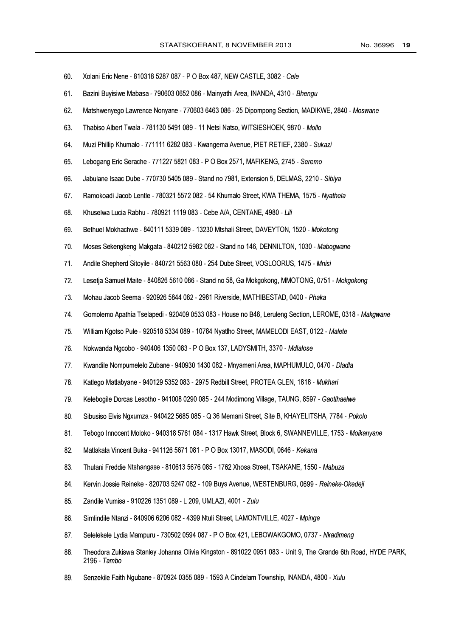| 60. | Xolani Eric Nene - 810318 5287 087 - P O Box 487, NEW CASTLE, 3082 - Cele                                                    |
|-----|------------------------------------------------------------------------------------------------------------------------------|
| 61. | Bazini Buyisiwe Mabasa - 790603 0652 086 - Mainyathi Area, INANDA, 4310 - Bhengu                                             |
| 62. | Matshwenyego Lawrence Nonyane - 770603 6463 086 - 25 Dipompong Section, MADIKWE, 2840 - Moswane                              |
| 63. | Thabiso Albert Twala - 781130 5491 089 - 11 Netsi Natso, WITSIESHOEK, 9870 - Mollo                                           |
| 64. | Muzi Phillip Khumalo - 771111 6282 083 - Kwangema Avenue, PIET RETIEF, 2380 - Sukazi                                         |
| 65. | Lebogang Eric Serache - 771227 5821 083 - P O Box 2571, MAFIKENG, 2745 - Seremo                                              |
| 66. | Jabulane Isaac Dube - 770730 5405 089 - Stand no 7981, Extension 5, DELMAS, 2210 - Sibiya                                    |
| 67. | Ramokoadi Jacob Lentle - 780321 5572 082 - 54 Khumalo Street, KWA THEMA, 1575 - Nyathela                                     |
| 68. | Khuselwa Lucia Rabhu - 780921 1119 083 - Cebe A/A, CENTANE, 4980 - Lili                                                      |
| 69. | Bethuel Mokhachwe - 840111 5339 089 - 13230 Mtshali Street, DAVEYTON, 1520 - Mokotong                                        |
| 70. | Moses Sekengkeng Makgata - 840212 5982 082 - Stand no 146, DENNILTON, 1030 - Mabogwane                                       |
| 71. | Andile Shepherd Sitoyile - 840721 5563 080 - 254 Dube Street, VOSLOORUS, 1475 - Mnisi                                        |
| 72. | Lesetja Samuel Maite - 840826 5610 086 - Stand no 58, Ga Mokgokong, MMOTONG, 0751 - Mokgokong                                |
| 73. | Mohau Jacob Seema - 920926 5844 082 - 2981 Riverside, MATHIBESTAD, 0400 - Phaka                                              |
| 74. | Gomolemo Apathia Tselapedi - 920409 0533 083 - House no B48, Leruleng Section, LEROME, 0318 - Makgwane                       |
| 75. | William Kgotso Pule - 920518 5334 089 - 10784 Nyatlho Street, MAMELODI EAST, 0122 - Malete                                   |
| 76. | Nokwanda Ngcobo - 940406 1350 083 - P O Box 137, LADYSMITH, 3370 - Mdlalose                                                  |
| 77. | Kwandile Nompumelelo Zubane - 940930 1430 082 - Mnyameni Area, MAPHUMULO, 0470 - Dladla                                      |
| 78. | Katlego Matlabyane - 940129 5352 083 - 2975 Redbill Street, PROTEA GLEN, 1818 - Mukhari                                      |
| 79. | Kelebogile Dorcas Lesotho - 941008 0290 085 - 244 Modimong Village, TAUNG, 8597 - Gaotlhaelwe                                |
| 80. | Sibusiso Elvis Ngxumza - 940422 5685 085 - Q 36 Memani Street, Site B, KHAYELITSHA, 7784 - Pokolo                            |
| 81. | Tebogo Innocent Moloko - 940318 5761 084 - 1317 Hawk Street, Block 6, SWANNEVILLE, 1753 - Moikanyane                         |
| 82. | Matlakala Vincent Buka - 941126 5671 081 - P O Box 13017, MASODI, 0646 - Kekana                                              |
| 83. | Thulani Freddie Ntshangase - 810613 5676 085 - 1762 Xhosa Street, TSAKANE, 1550 - Mabuza                                     |
| 84. | Kervin Jossie Reineke - 820703 5247 082 - 109 Buys Avenue, WESTENBURG, 0699 - Reineke-Okedeji                                |
| 85. | Zandile Vumisa - 910226 1351 089 - L 209, UMLAZI, 4001 - Zulu                                                                |
| 86. | Simlindile Ntanzi - 840906 6206 082 - 4399 Ntuli Street, LAMONTVILLE, 4027 - Mpinge                                          |
| 87. | Selelekele Lydia Mampuru - 730502 0594 087 - P O Box 421, LEBOWAKGOMO, 0737 - Nkadimeng                                      |
| 88. | Theodora Zukiswa Stanley Johanna Olivia Kingston - 891022 0951 083 - Unit 9, The Grande 6th Road, HYDE PARK,<br>2196 - Tambo |
| 89. | Senzekile Faith Ngubane - 870924 0355 089 - 1593 A Cindelam Township, INANDA, 4800 - Xulu                                    |
|     |                                                                                                                              |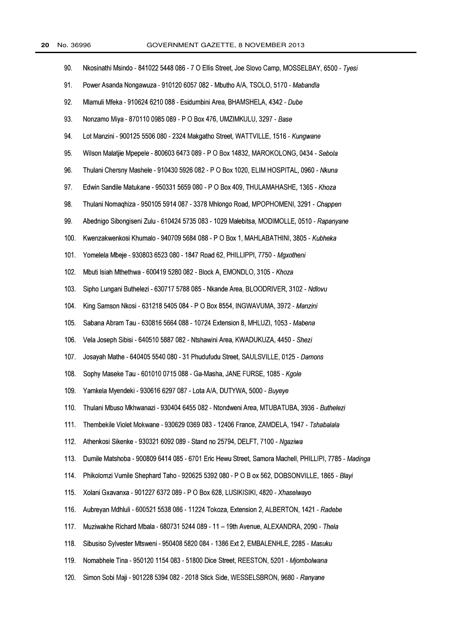| 90.  | Nkosinathi Msindo - 841022 5448 086 - 7 O Ellis Street, Joe Slovo Camp, MOSSELBAY, 6500 - Tyesi     |
|------|-----------------------------------------------------------------------------------------------------|
| 91.  | Power Asanda Nongawuza - 910120 6057 082 - Mbutho A/A, TSOLO, 5170 - Mabandla                       |
| 92.  | Mlamuli Mfeka - 910624 6210 088 - Esidumbini Area, BHAMSHELA, 4342 - Dube                           |
| 93.  | Nonzamo Miya - 870110 0985 089 - P O Box 476, UMZIMKULU, 3297 - Base                                |
| 94.  | Lot Manzini - 900125 5506 080 - 2324 Makgatho Street, WATTVILLE, 1516 - Kungwane                    |
| 95.  | Wilson Malatjie Mpepele - 800603 6473 089 - P O Box 14832, MAROKOLONG, 0434 - Sebola                |
| 96.  | Thulani Chersny Mashele - 910430 5926 082 - P O Box 1020, ELIM HOSPITAL, 0960 - Nkuna               |
| 97.  | Edwin Sandile Matukane - 950331 5659 080 - P O Box 409, THULAMAHASHE, 1365 - Khoza                  |
| 98.  | Thulani Nomaghiza - 950105 5914 087 - 3378 Mhlongo Road, MPOPHOMENI, 3291 - Chappen                 |
| 99.  | Abednigo Sibongiseni Zulu - 610424 5735 083 - 1029 Malebitsa, MODIMOLLE, 0510 - Rapanyane           |
| 100. | Kwenzakwenkosi Khumalo - 940709 5684 088 - P O Box 1, MAHLABATHINI, 3805 - Kubheka                  |
| 101. | Yomelela Mbeje - 930803 6523 080 - 1847 Road 62, PHILLIPPI, 7750 - Mgxotheni                        |
| 102. | Mbuti Isiah Mthethwa - 600419 5280 082 - Block A, EMONDLO, 3105 - Khoza                             |
| 103. | Sipho Lungani Buthelezi - 630717 5788 085 - Nkande Area, BLOODRIVER, 3102 - Ndlovu                  |
| 104. | King Samson Nkosi - 631218 5405 084 - P O Box 8554, INGWAVUMA, 3972 - Manzini                       |
| 105. | Sabana Abram Tau - 630816 5664 088 - 10724 Extension 8, MHLUZI, 1053 - Mabena                       |
| 106. | Vela Joseph Sibisi - 640510 5887 082 - Ntshawini Area, KWADUKUZA, 4450 - Shezi                      |
| 107. | Josayah Mathe - 640405 5540 080 - 31 Phudufudu Street, SAULSVILLE, 0125 - Damons                    |
| 108. | Sophy Maseke Tau - 601010 0715 088 - Ga-Masha, JANE FURSE, 1085 - Kgole                             |
| 109. | Yamkela Myendeki - 930616 6297 087 - Lota A/A, DUTYWA, 5000 - Buyeye                                |
| 110. | Thulani Mbuso Mkhwanazi - 930404 6455 082 - Ntondweni Area, MTUBATUBA, 3936 - Buthelezi             |
| 111. | Thembekile Violet Mokwane - 930629 0369 083 - 12406 France, ZAMDELA, 1947 - Tshabalala              |
| 112. | Athenkosi Sikenke - 930321 6092 089 - Stand no 25794, DELFT, 7100 - Ngaziwa                         |
| 113. | Dumile Matshoba - 900809 6414 085 - 6701 Eric Hewu Street, Samora Machell, PHILLIPI, 7785 - Madinga |
| 114. | Phikolomzi Vumile Shephard Taho - 920625 5392 080 - P O B ox 562, DOBSONVILLE, 1865 - Blayi         |
| 115. | Xolani Gxavanxa - 901227 6372 089 - P O Box 628, LUSIKISIKI, 4820 - Xhaselwayo                      |
| 116. | Aubreyan Mdhluli - 600521 5538 086 - 11224 Tokoza, Extension 2, ALBERTON, 1421 - Radebe             |
| 117. | Muziwakhe Richard Mbala - 680731 5244 089 - 11 - 19th Avenue, ALEXANDRA, 2090 - Thela               |
| 118. | Sibusiso Sylvester Mtsweni - 950408 5820 084 - 1386 Ext 2, EMBALENHLE, 2285 - Masuku                |
| 119. | Nomabhele Tina - 950120 1154 083 - 51800 Dice Street, REESTON, 5201 - Mjombolwana                   |
| 120. | Simon Sobi Maji - 901228 5394 082 - 2018 Stick Side, WESSELSBRON, 9680 - Ranyane                    |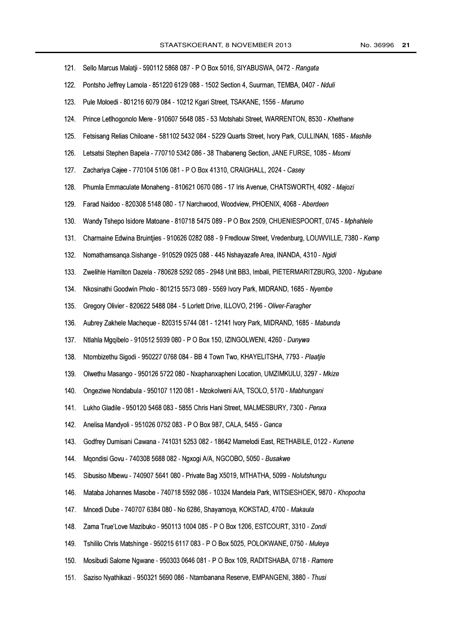| 121. | Sello Marcus Malatji - 590112 5868 087 - P O Box 5016, SIYABUSWA, 0472 - Rangata                       |
|------|--------------------------------------------------------------------------------------------------------|
| 122. | Pontsho Jeffrey Lamola - 851220 6129 088 - 1502 Section 4, Suurman, TEMBA, 0407 - Nduli                |
| 123. | Pule Moloedi - 801216 6079 084 - 10212 Kgari Street, TSAKANE, 1556 - Marumo                            |
| 124. | Prince Letlhogonolo Mere - 910607 5648 085 - 53 Motshabi Street, WARRENTON, 8530 - Khethane            |
| 125. | Fetsisang Relias Chiloane - 581102 5432 084 - 5229 Quarts Street, Ivory Park, CULLINAN, 1685 - Mashile |
| 126. | Letsatsi Stephen Bapela - 770710 5342 086 - 38 Thabaneng Section, JANE FURSE, 1085 - Msomi             |
| 127. | Zachariya Cajee - 770104 5106 081 - P O Box 41310, CRAIGHALL, 2024 - Casey                             |
| 128. | Phumla Emmaculate Monaheng - 810621 0670 086 - 17 Iris Avenue, CHATSWORTH, 4092 - Majozi               |
| 129. | Farad Naidoo - 820308 5148 080 - 17 Narchwood, Woodview, PHOENIX, 4068 - Aberdeen                      |
| 130. | Wandy Tshepo Isidore Matoane - 810718 5475 089 - P O Box 2509, CHUENIESPOORT, 0745 - Mphahlele         |
| 131. | Charmaine Edwina Bruintjies - 910626 0282 088 - 9 Fredlouw Street, Vredenburg, LOUWVILLE, 7380 - Kemp  |
| 132. | Nomathamsanga.Sishange - 910529 0925 088 - 445 Nshayazafe Area, INANDA, 4310 - Ngidi                   |
| 133. | Zwelihle Hamilton Dazela - 780628 5292 085 - 2948 Unit BB3, Imbali, PIETERMARITZBURG, 3200 - Ngubane   |
| 134. | Nkosinathi Goodwin Pholo - 801215 5573 089 - 5569 Ivory Park, MIDRAND, 1685 - Nyembe                   |
| 135. | Gregory Olivier - 820622 5488 084 - 5 Lorlett Drive, ILLOVO, 2196 - Oliver-Faragher                    |
| 136. | Aubrey Zakhele Macheque - 820315 5744 081 - 12141 Ivory Park, MIDRAND, 1685 - Mabunda                  |
| 137. | Ntlahla Mgqibelo - 910512 5939 080 - P O Box 150, IZINGOLWENI, 4260 - Dunywa                           |
| 138. | Ntombizethu Sigodi - 950227 0768 084 - BB 4 Town Two, KHAYELITSHA, 7793 - Plaatjie                     |
| 139. | Olwethu Masango - 950126 5722 080 - Nxaphanxapheni Location, UMZIMKULU, 3297 - Mkize                   |
| 140. | Ongeziwe Nondabula - 950107 1120 081 - Mzokolweni A/A, TSOLO, 5170 - Mabhungani                        |
| 141. | Lukho Gladile - 950120 5468 083 - 5855 Chris Hani Street, MALMESBURY, 7300 - Penxa                     |
| 142. | Anelisa Mandyoli - 951026 0752 083 - P O Box 987, CALA, 5455 - Ganca                                   |
| 143. | Godfrey Dumisani Cawana - 741031 5253 082 - 18642 Mamelodi East, RETHABILE, 0122 - Kunene              |
| 144. | Mgondisi Govu - 740308 5688 082 - Ngxogi A/A, NGCOBO, 5050 - Busakwe                                   |
| 145. | Sibusiso Mbewu - 740907 5641 080 - Private Bag X5019, MTHATHA, 5099 - Nolutshungu                      |
| 146. | Mataba Johannes Masobe - 740718 5592 086 - 10324 Mandela Park, WITSIESHOEK, 9870 - Khopocha            |
| 147. | Mncedi Dube - 740707 6384 080 - No 6286, Shayamoya, KOKSTAD, 4700 - Makaula                            |
| 148. | Zama True'Love Mazibuko - 950113 1004 085 - P O Box 1206, ESTCOURT, 3310 - Zondi                       |
| 149. | Tshililo Chris Matshinge - 950215 6117 083 - P O Box 5025, POLOKWANE, 0750 - Muleya                    |
| 150. | Mosibudi Salome Ngwane - 950303 0646 081 - P O Box 109, RADITSHABA, 0718 - Ramere                      |
| 151. | Saziso Nyathikazi - 950321 5690 086 - Ntambanana Reserve, EMPANGENI, 3880 - Thusi                      |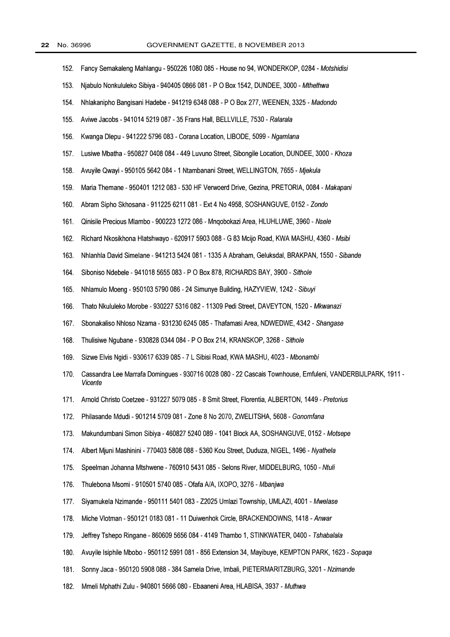| 152. | Fancy Semakaleng Mahlangu - 950226 1080 085 - House no 94, WONDERKOP, 0284 - Motshidisi                             |
|------|---------------------------------------------------------------------------------------------------------------------|
| 153. | Njabulo Nonkululeko Sibiya - 940405 0866 081 - P O Box 1542, DUNDEE, 3000 - Mthethwa                                |
| 154. | Nhlakanipho Bangisani Hadebe - 941219 6348 088 - P O Box 277, WEENEN, 3325 - Madondo                                |
| 155. | Aviwe Jacobs - 941014 5219 087 - 35 Frans Hall, BELLVILLE, 7530 - Ralarala                                          |
| 156. | Kwanga Dlepu - 941222 5796 083 - Corana Location, LIBODE, 5099 - Ngamlana                                           |
| 157. | Lusiwe Mbatha - 950827 0408 084 - 449 Luvuno Street, Sibongile Location, DUNDEE, 3000 - Khoza                       |
| 158. | Avuyile Qwayi - 950105 5642 084 - 1 Ntambanani Street, WELLINGTON, 7655 - Mjekula                                   |
| 159. | Maria Themane - 950401 1212 083 - 530 HF Verwoerd Drive, Gezina, PRETORIA, 0084 - Makapani                          |
| 160. | Abram Sipho Skhosana - 911225 6211 081 - Ext 4 No 4958, SOSHANGUVE, 0152 - Zondo                                    |
| 161. | Qinisile Precious Mlambo - 900223 1272 086 - Mngobokazi Area, HLUHLUWE, 3960 - Nsele                                |
| 162. | Richard Nkosikhona Hlatshwayo - 620917 5903 088 - G 83 Mcijo Road, KWA MASHU, 4360 - Msibi                          |
| 163. | Nhlanhla David Simelane - 941213 5424 081 - 1335 A Abraham, Geluksdal, BRAKPAN, 1550 - Sibande                      |
| 164. | Siboniso Ndebele - 941018 5655 083 - P O Box 878, RICHARDS BAY, 3900 - Sithole                                      |
| 165. | Nhlamulo Moeng - 950103 5790 086 - 24 Simunye Building, HAZYVIEW, 1242 - Sibuyi                                     |
| 166. | Thato Nkululeko Morobe - 930227 5316 082 - 11309 Pedi Street, DAVEYTON, 1520 - Mkwanazi                             |
| 167. | Sbonakaliso Nhloso Nzama - 931230 6245 085 - Thafamasi Area, NDWEDWE, 4342 - Shangase                               |
| 168. | Thulisiwe Ngubane - 930828 0344 084 - P O Box 214, KRANSKOP, 3268 - Sithole                                         |
| 169. | Sizwe Elvis Ngidi - 930617 6339 085 - 7 L Sibisi Road, KWA MASHU, 4023 - Mbonambi                                   |
| 170. | Cassandra Lee Marrafa Domingues - 930716 0028 080 - 22 Cascais Townhouse, Emfuleni, VANDERBIJLPARK, 1911<br>Vicente |
| 171. | Arnold Christo Coetzee - 931227 5079 085 - 8 Smit Street, Florentia, ALBERTON, 1449 - Pretorius                     |
| 172. | Philasande Mdudi - 901214 5709 081 - Zone 8 No 2070, ZWELITSHA, 5608 - Gonomfana                                    |
| 173. | Makundumbani Simon Sibiya - 460827 5240 089 - 1041 Block AA, SOSHANGUVE, 0152 - Motsepe                             |
| 174. | Albert Mjuni Mashinini - 770403 5808 088 - 5360 Kou Street, Duduza, NIGEL, 1496 - Nyathela                          |
| 175. | Speelman Johanna Mtshwene - 760910 5431 085 - Selons River, MIDDELBURG, 1050 - Ntuli                                |
| 176. | Thulebona Msomi - 910501 5740 085 - Ofafa A/A, IXOPO, 3276 - Mbanjwa                                                |
| 177. | Siyamukela Nzimande - 950111 5401 083 - Z2025 Umlazi Township, UMLAZI, 4001 - Mwelase                               |
| 178. | Miche Vlotman - 950121 0183 081 - 11 Duiwenhok Circle, BRACKENDOWNS, 1418 - Anwar                                   |
| 179. | Jeffrey Tshepo Ringane - 860609 5656 084 - 4149 Thambo 1, STINKWATER, 0400 - Tshabalala                             |
| 180. | Avuyile Isiphile Mbobo - 950112 5991 081 - 856 Extension 34, Mayibuye, KEMPTON PARK, 1623 - Sopaga                  |
| 181. | Sonny Jaca - 950120 5908 088 - 384 Samela Drive, Imbali, PIETERMARITZBURG, 3201 - Nzimande                          |
| 182. | Mmeli Mphathi Zulu - 940801 5666 080 - Ebaaneni Area, HLABISA, 3937 - Muthwa                                        |

 $\overline{a}$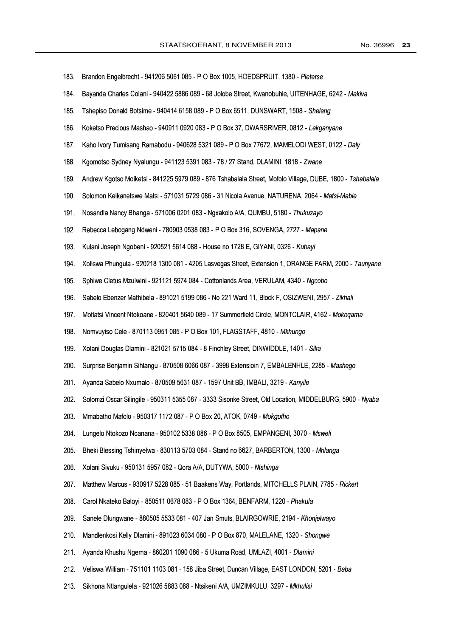| 183. | Brandon Engelbrecht - 941206 5061 085 - P O Box 1005, HOEDSPRUIT, 1380 - Pieterse                         |
|------|-----------------------------------------------------------------------------------------------------------|
| 184. | Bayanda Charles Colani - 940422 5886 089 - 68 Jolobe Street, Kwanobuhle, UITENHAGE, 6242 - Makiva         |
| 185. | Tshepiso Donald Botsime - 940414 6158 089 - P O Box 6511, DUNSWART, 1508 - Sheleng                        |
| 186. | Koketso Precious Mashao - 940911 0920 083 - P O Box 37, DWARSRIVER, 0812 - Lekganyane                     |
| 187. | Kaho Ivory Tumisang Ramabodu - 940628 5321 089 - P O Box 77672, MAMELODI WEST, 0122 - Daly                |
| 188. | Kgomotso Sydney Nyalungu - 941123 5391 083 - 78 / 27 Stand, DLAMINI, 1818 - Zwane                         |
| 189. | Andrew Kgotso Moiketsi - 841225 5979 089 - 876 Tshabalala Street, Mofolo Village, DUBE, 1800 - Tshabalala |
| 190. | Solomon Keikanetswe Matsi - 571031 5729 086 - 31 Nicola Avenue, NATURENA, 2064 - Matsi-Mabie              |
| 191. | Nosandla Nancy Bhanga - 571006 0201 083 - Ngxakolo A/A, QUMBU, 5180 - Thukuzayo                           |
| 192. | Rebecca Lebogang Ndweni - 780903 0538 083 - P O Box 316, SOVENGA, 2727 - Mapane                           |
| 193. | Kulani Joseph Ngobeni - 920521 5614 088 - House no 1728 E, GIYANI, 0326 - Kubayi                          |
| 194. | Xoliswa Phungula - 920218 1300 081 - 4205 Lasvegas Street, Extension 1, ORANGE FARM, 2000 - Taunyane      |
| 195. | Sphiwe Cletus Mzulwini - 921121 5974 084 - Cottonlands Area, VERULAM, 4340 - Ngcobo                       |
| 196. | Sabelo Ebenzer Mathibela - 891021 5199 086 - No 221 Ward 11, Block F, OSIZWENI, 2957 - Zikhali            |
| 197. | Motlatsi Vincent Ntokoane - 820401 5640 089 - 17 Summerfield Circle, MONTCLAIR, 4162 - Mokogama           |
| 198. | Nomvuyiso Cele - 870113 0951 085 - P O Box 101, FLAGSTAFF, 4810 - Mkhungo                                 |
| 199. | Xolani Douglas Dlamini - 821021 5715 084 - 8 Finchley Street, DINWIDDLE, 1401 - Sika                      |
| 200. | Surprise Benjamin Sihlangu - 870508 6066 087 - 3998 Extensioin 7, EMBALENHLE, 2285 - Mashego              |
| 201. | Ayanda Sabelo Nxumalo - 870509 5631 087 - 1597 Unit BB, IMBALI, 3219 - Kanyile                            |
| 202. | Solomzi Oscar Silingile - 950311 5355 087 - 3333 Sisonke Street, Old Location, MIDDELBURG, 5900 - Nyaba   |
| 203. | Mmabatho Mafolo - 950317 1172 087 - P O Box 20, ATOK, 0749 - Mokgotho                                     |
| 204. | Lungelo Ntokozo Ncanana - 950102 5338 086 - P O Box 8505, EMPANGENI, 3070 - Msweli                        |
| 205. | Bheki Blessing Tshinyelwa - 830113 5703 084 - Stand no 6627, BARBERTON, 1300 - Mhlanga                    |
| 206. | Xolani Sivuku - 950131 5957 082 - Qora A/A, DUTYWA, 5000 - Ntshinga                                       |
| 207. | Matthew Marcus - 930917 5228 085 - 51 Baakens Way, Portlands, MITCHELLS PLAIN, 7785 - Rickert             |
| 208. | Carol Nkateko Baloyi - 850511 0678 083 - P O Box 1364, BENFARM, 1220 - Phakula                            |
| 209. | Sanele Dlungwane - 880505 5533 081 - 407 Jan Smuts, BLAIRGOWRIE, 2194 - Khonjelwayo                       |
| 210. | Mandlenkosi Kelly Dlamini - 891023 6034 080 - P O Box 870, MALELANE, 1320 - Shongwe                       |
| 211. | Ayanda Khushu Ngema - 860201 1090 086 - 5 Ukuma Road, UMLAZI, 4001 - Dlamini                              |
| 212. | Veliswa William - 751101 1103 081 - 158 Jiba Street, Duncan Village, EAST LONDON, 5201 - Baba             |
| 213. | Sikhona Ntlangulela - 921026 5883 088 - Ntsikeni A/A, UMZIMKULU, 3297 - Mkhulisi                          |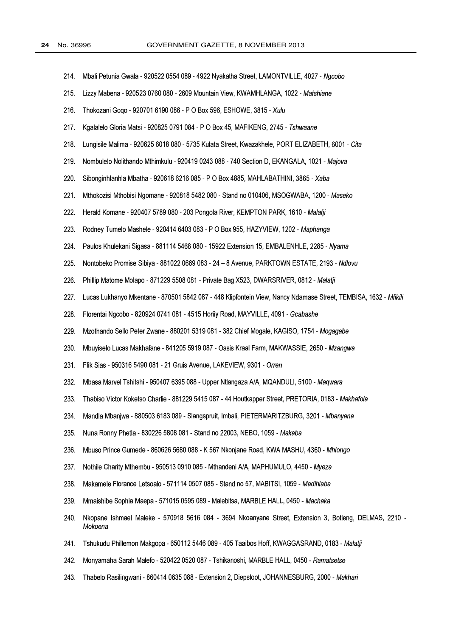| 214. | Mbali Petunia Gwala - 920522 0554 089 - 4922 Nyakatha Street, LAMONTVILLE, 4027 - Ngcobo                          |
|------|-------------------------------------------------------------------------------------------------------------------|
| 215. | Lizzy Mabena - 920523 0760 080 - 2609 Mountain View, KWAMHLANGA, 1022 - Matshiane                                 |
| 216. | Thokozani Goqo - 920701 6190 086 - P O Box 596, ESHOWE, 3815 - Xulu                                               |
| 217. | Kgalalelo Gloria Matsi - 920825 0791 084 - P O Box 45, MAFIKENG, 2745 - Tshwaane                                  |
| 218. | Lungisile Malima - 920625 6018 080 - 5735 Kulata Street, Kwazakhele, PORT ELIZABETH, 6001 - Cita                  |
| 219. | Nombulelo Nolithando Mthimkulu - 920419 0243 088 - 740 Section D, EKANGALA, 1021 - Majova                         |
| 220. | Sibonginhlanhla Mbatha - 920618 6216 085 - P O Box 4885, MAHLABATHINI, 3865 - Xaba                                |
| 221. | Mthokozisi Mthobisi Ngomane - 920818 5482 080 - Stand no 010406, MSOGWABA, 1200 - Maseko                          |
| 222. | Herald Komane - 920407 5789 080 - 203 Pongola River, KEMPTON PARK, 1610 - Malatji                                 |
| 223. | Rodney Tumelo Mashele - 920414 6403 083 - P O Box 955, HAZYVIEW, 1202 - Maphanga                                  |
| 224. | Paulos Khulekani Sigasa - 881114 5468 080 - 15922 Extension 15, EMBALENHLE, 2285 - Nyama                          |
| 225. | Nontobeko Promise Sibiya - 881022 0669 083 - 24 - 8 Avenue, PARKTOWN ESTATE, 2193 - Ndlovu                        |
| 226. | Phillip Matome Molapo - 871229 5508 081 - Private Bag X523, DWARSRIVER, 0812 - Malatji                            |
| 227. | Lucas Lukhanyo Mkentane - 870501 5842 087 - 448 Klipfontein View, Nancy Ndamase Street, TEMBISA, 1632 - Mfikili   |
| 228. | Florentai Ngcobo - 820924 0741 081 - 4515 Horiiy Road, MAYVILLE, 4091 - Gcabashe                                  |
| 229. | Mzothando Sello Peter Zwane - 880201 5319 081 - 382 Chief Mogale, KAGISO, 1754 - Mogagabe                         |
| 230. | Mbuyiselo Lucas Makhafane - 841205 5919 087 - Oasis Kraal Farm, MAKWASSIE, 2650 - Mzangwa                         |
| 231. | Flik Sias - 950316 5490 081 - 21 Gruis Avenue, LAKEVIEW, 9301 - Orren                                             |
| 232. | Mbasa Marvel Tshitshi - 950407 6395 088 - Upper Ntlangaza A/A, MQANDULI, 5100 - Maqwara                           |
| 233. | Thabiso Victor Koketso Charlie - 881229 5415 087 - 44 Houtkapper Street, PRETORIA, 0183 - Makhafola               |
| 234. | Mandla Mbanjwa - 880503 6183 089 - Slangspruit, Imbali, PIETERMARITZBURG, 3201 - Mbanyana                         |
| 235. | Nuna Ronny Phetla - 830226 5808 081 - Stand no 22003, NEBO, 1059 - Makaba                                         |
| 236. | Mbuso Prince Gumede - 860626 5680 088 - K 567 Nkonjane Road, KWA MASHU, 4360 - Mhlongo                            |
| 237. | Nothile Charity Mthembu - 950513 0910 085 - Mthandeni A/A, MAPHUMULO, 4450 - Myeza                                |
| 238. | Makamele Florance Letsoalo - 571114 0507 085 - Stand no 57, MABITSI, 1059 - Madihlaba                             |
| 239. | Mmaishibe Sophia Maepa - 571015 0595 089 - Malebitsa, MARBLE HALL, 0450 - Machaka                                 |
| 240. | Nkopane Ishmael Maleke - 570918 5616 084 - 3694 Nkoanyane Street, Extension 3, Botleng, DELMAS, 2210 -<br>Mokoena |
| 241. | Tshukudu Phillemon Makgopa - 650112 5446 089 - 405 Taaibos Hoff, KWAGGASRAND, 0183 - Malatji                      |
| 242. | Monyamaha Sarah Malefo - 520422 0520 087 - Tshikanoshi, MARBLE HALL, 0450 - Ramatsetse                            |
| 243. | Thabelo Rasilingwani - 860414 0635 088 - Extension 2, Diepsloot, JOHANNESBURG, 2000 - Makhari                     |
|      |                                                                                                                   |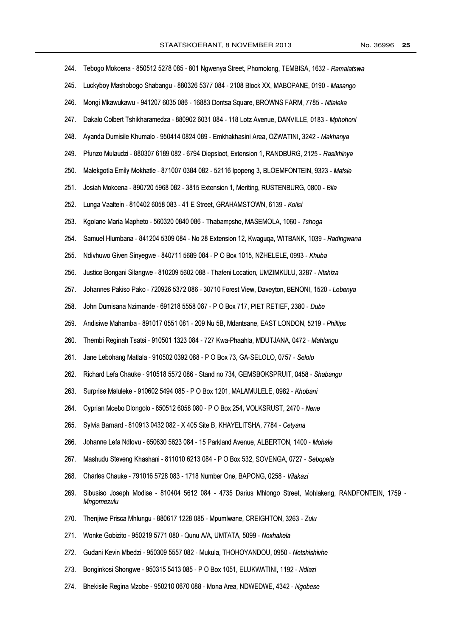| 244. | Tebogo Mokoena - 850512 5278 085 - 801 Ngwenya Street, Phomolong, TEMBISA, 1632 - Ramalatswa                        |
|------|---------------------------------------------------------------------------------------------------------------------|
| 245. | Luckyboy Mashobogo Shabangu - 880326 5377 084 - 2108 Block XX, MABOPANE, 0190 - Masango                             |
| 246. | Mongi Mkawukawu - 941207 6035 086 - 16883 Dontsa Square, BROWNS FARM, 7785 - Ntlaleka                               |
| 247. | Dakalo Colbert Tshikharamedza - 880902 6031 084 - 118 Lotz Avenue, DANVILLE, 0183 - Mphohoni                        |
| 248. | Ayanda Dumisile Khumalo - 950414 0824 089 - Emkhakhasini Area, OZWATINI, 3242 - Makhanya                            |
| 249  | Pfunzo Mulaudzi - 880307 6189 082 - 6794 Diepsloot, Extension 1, RANDBURG, 2125 - Rasikhinya                        |
| 250. | Malekgotla Emily Mokhatle - 871007 0384 082 - 52116 Ipopeng 3, BLOEMFONTEIN, 9323 - Matsie                          |
| 251. | Josiah Mokoena - 890720 5968 082 - 3815 Extension 1, Meriting, RUSTENBURG, 0800 - Bila                              |
| 252. | Lunga Vaaltein - 810402 6058 083 - 41 E Street, GRAHAMSTOWN, 6139 - Kolisi                                          |
| 253. | Kgolane Maria Mapheto - 560320 0840 086 - Thabampshe, MASEMOLA, 1060 - Tshoga                                       |
| 254. | Samuel Hlumbana - 841204 5309 084 - No 28 Extension 12, Kwaguqa, WITBANK, 1039 - Radingwana                         |
| 255. | Ndivhuwo Given Sinyegwe - 840711 5689 084 - P O Box 1015, NZHELELE, 0993 - Khuba                                    |
| 256. | Justice Bongani Silangwe - 810209 5602 088 - Thafeni Location, UMZIMKULU, 3287 - Ntshiza                            |
| 257. | Johannes Pakiso Pako - 720926 5372 086 - 30710 Forest View, Daveyton, BENONI, 1520 - Lebenya                        |
| 258. | John Dumisana Nzimande - 691218 5558 087 - P O Box 717, PIET RETIEF, 2380 - Dube                                    |
| 259. | Andisiwe Mahamba - 891017 0551 081 - 209 Nu 5B, Mdantsane, EAST LONDON, 5219 - Phillips                             |
| 260. | Thembi Reginah Tsatsi - 910501 1323 084 - 727 Kwa-Phaahla, MDUTJANA, 0472 - Mahlangu                                |
| 261. | Jane Lebohang Matlala - 910502 0392 088 - P O Box 73, GA-SELOLO, 0757 - Selolo                                      |
| 262. | Richard Lefa Chauke - 910518 5572 086 - Stand no 734, GEMSBOKSPRUIT, 0458 - Shabangu                                |
| 263. | Surprise Maluleke - 910602 5494 085 - P O Box 1201, MALAMULELE, 0982 - Khobani                                      |
| 264. | Cyprian Mcebo Dlongolo - 850512 6058 080 - P O Box 254, VOLKSRUST, 2470 - Nene                                      |
| 265. | Sylvia Barnard - 810913 0432 082 - X 405 Site B, KHAYELITSHA, 7784 - Cetyana                                        |
| 266. | Johanne Lefa Ndlovu - 650630 5623 084 - 15 Parkland Avenue, ALBERTON, 1400 - Mohale                                 |
| 267. | Mashudu Steveng Khashani - 811010 6213 084 - P O Box 532, SOVENGA, 0727 - Sebopela                                  |
| 268. | Charles Chauke - 791016 5728 083 - 1718 Number One, BAPONG, 0258 - Vilakazi                                         |
| 269. | Sibusiso Joseph Modise - 810404 5612 084 - 4735 Darius Mhlongo Street, Mohlakeng, RANDFONTEIN, 1759 -<br>Mngomezulu |
| 270. | Thenjiwe Prisca Mhlungu - 880617 1228 085 - Mpumlwane, CREIGHTON, 3263 - Zulu                                       |
| 271. | Wonke Gobizito - 950219 5771 080 - Qunu A/A, UMTATA, 5099 - Noxhakela                                               |
| 272. | Gudani Kevin Mbedzi - 950309 5557 082 - Mukula, THOHOYANDOU, 0950 - Netshishivhe                                    |
| 273. | Bonginkosi Shongwe - 950315 5413 085 - P O Box 1051, ELUKWATINI, 1192 - Ndlazi                                      |
| 274. | Bhekisile Regina Mzobe - 950210 0670 088 - Mona Area, NDWEDWE, 4342 - Ngobese                                       |
|      |                                                                                                                     |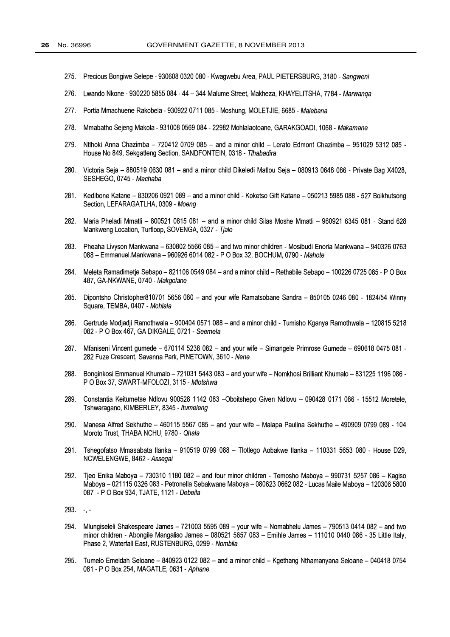- 275. Precious Bongiwe Selepe 930608 0320 080 Kwagwebu Area, PAUL PIETERSBURG, 3180 Sangweni
- 276. Lwando Nkone - 930220 5855 084 - 44 - 344 Malume Street, Makheza, KHAYELITSHA, 7784 - Marwanga
- 277. Portia Mmachuene Rakobela 930922 0711 085 Moshung, MOLETJIE, 6685 Malebana
- 278. Mmabatho Sejeng Makola - 931008 0569 084 - 22982 Mohlalaotoane, GARAKGOADI, 1068 - Makamane
- 279. Ntlhoki Anna Chazimba - 720412 0709 085 - and a minor child - Lerato Edmont Chazimba - 951029 5312 085 -House No 849, Sekgatleng Section, SANDFONTEIN, 0318 - Thabadira
- 280. Victoria Seja - 880519 0630 081 - and a minor child Dikeledi Matlou Seja - 080913 0648 086 - Private Bag X4028, SESHEGO, 0745 - Machaba
- 281. Kedibone Katane - 830206 0921 089 - and a minor child - Koketso Gift Katane - 050213 5985 088 - 527 Boikhutsong Section, LEFARAGATLHA, 0309 - Moeng
- 282. Maria Pheladi Mmatli - 800521 0815 081 - and a minor child Silas Moshe Mmatli - 960921 6345 081 - Stand 628 Mankweng Location, Turfloop, SOVENGA, 0327 - Tjale
- 283. Pheaha Livyson Mankwana - 630802 5566 085 - and two minor children - Mosibudi Enoria Mankwana - 940326 0763 088 - Emmanuel Mankwana - 960926 6014 082 - P O Box 32, BOCHUM, 0790 - Mahote
- 284. Meleta Ramadimetie Sebapo - 821106 0549 084 - and a minor child - Rethabile Sebapo - 100226 0725 085 - P O Box 487. GA-NKWANE, 0740 - Makgolane
- 285. Dipontsho Christopher810701 5656 080 - and your wife Ramatsobane Sandra - 850105 0246 080 - 1824/54 Winny Square, TEMBA, 0407 - Mohlala
- 286. Gertrude Modiadii Ramothwala - 900404 0571 088 - and a minor child - Tumisho Kganya Ramothwala - 120815 5218 082 - P O Box 467, GA DIKGALE, 0721 - Seemela
- 287. Mfaniseni Vincent gumede - 670114 5238 082 - and your wife - Simangele Primrose Gumede - 690618 0475 081 -282 Fuze Crescent, Savanna Park, PINETOWN, 3610 - Nene
- 288. Bonginkosi Emmanuel Khumalo - 721031 5443 083 - and your wife - Nomkhosi Brilliant Khumalo - 831225 1196 086 -P O Box 37, SWART-MFOLOZI, 3115 - Mlotshwa
- 289. Constantia Keitumetse Ndlovu 900528 1142 083 -Oboitshepo Given Ndlovu - 090428 0171 086 - 15512 Moretele, Tshwaragano, KIMBERLEY, 8345 - Itumeleng
- 290. Manesa Alfred Sekhuthe - 460115 5567 085 - and your wife - Malapa Paulina Sekhuthe - 490909 0799 089 - 104 Moroto Trust, THABA NCHU, 9780 - Qhala
- 291. Tshegofatso Mmasabata Ilanka - 910519 0799 088 - Tlotlego Aobakwe Ilanka - 110331 5653 080 - House D29, NCWELENGWE, 8462 - Assegai
- 292. Tjeo Enika Maboya - 730310 1180 082 - and four minor children - Temosho Maboya - 990731 5257 086 - Kagiso Maboya - 021115 0326 083 - Petronella Sebakwane Maboya - 080623 0662 082 - Lucas Maile Maboya - 120306 5800 087 - P O Box 934, TJATE, 1121 - Debeila
- $293. -7 -$
- 294. Mlungiseleli Shakespeare James - 721003 5595 089 - your wife - Nomabhelu James - 790513 0414 082 - and two minor children - Abongile Mangaliso James - 080521 5657 083 - Emihle James - 111010 0440 086 - 35 Little Italy. Phase 2, Waterfall East, RUSTENBURG, 0299 - Nombila
- 295. Tumelo Emeldah Seloane - 840923 0122 082 - and a minor child - Kgethang Nthamanyana Seloane - 040418 0754 081 - P O Box 254, MAGATLE, 0631 - Aphane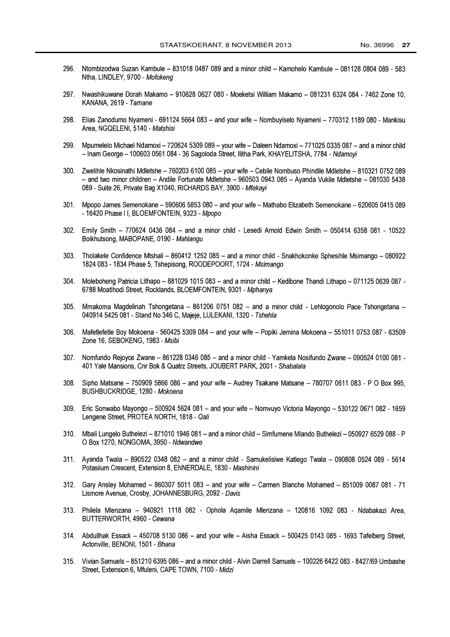- 296. Ntombizodwa Suzan Kambule - 831018 0487 089 and a minor child - Kamohelo Kambule - 081128 0804 089 - 583 Ntha, LINDLEY, 9700 - Mofokeng
- 297. Nwashikuwane Dorah Makamo - 910628 0627 080 - Moeketsi William Makamo - 081231 6324 084 - 7462 Zone 10. KANANA, 2619 - Tamane
- 298. Elias Zanodumo Nyameni - 691124 5664 083 - and your wife - Nombuyiselo Nyameni - 770312 1189 080 - Mankisu Area, NGQELENI, 5140 - Matshisi
- 299. Mpumelelo Michael Ndamoxi 720624 5309 089 your wife Daleen Ndamoxi 771025 0335 087 and a minor child - Inam George - 100603 0561 084 - 36 Sagoloda Street, Ilitha Park, KHAYELITSHA, 7784 - Ndamovi
- 300. Zwelihle Nkosinathi Mdletshe 760203 6100 085 your wife Cebile Nombuso Phindile Mdletshe 810321 0752 089 - and two minor children - Andile Fortunate Mdletshe - 960503 0943 085 - Ayanda Vukile Mdletshe - 081030 5438 089 - Suite 26, Private Bag X1040, RICHARDS BAY, 3900 - Mfekayi
- 301. Mpopo James Semenokane 590606 5853 080 and your wife Mathabo Elizabeth Semenokane 620605 0415 089 - 16420 Phase II, BLOEMFONTEIN, 9323 - Mpopo
- 302. Emily Smith 770624 0436 084 and a minor child Lesedi Arnold Edwin Smith 050414 6358 081 10522 Boikhutsong, MABOPANE, 0190 - Mahlangu
- 303. Tholakele Confidence Mtshali 860412 1252 085 and a minor child Snakhokonke Sphesihle Msimango 080922 1824 083 - 1834 Phase 5, Tshepisong, ROODEPOORT, 1724 - Msimango
- $304$ Moleboheng Patricia Lithapo - 881029 1015 083 - and a minor child - Kedibone Thandi Lithapo - 071125 0639 087 -6788 Moatlhodi Street, Rocklands, BLOEMFONTEIN, 9301 - Mphanya
- $305$ Mmakoma Magdelinah Tshongetana - 861206 0751 082 - and a minor child - Lehlogonolo Pace Tshongetana -040914 5425 081 - Stand No 346 C, Majeje, LULEKANI, 1320 - Tshehla
- 306. Mafetlefetle Boy Mokoena - 560425 5309 084 - and your wife - Popiki Jemina Mokoena - 551011 0753 087 - 63509 Zone 16, SEBOKENG, 1983 - Msibi
- 307. Nomfundo Rejoyce Zwane 861228 0346 085 and a minor child Yamkela Nosifundo Zwane 090524 0100 081 -401 Yale Mansions, Cnr Bok & Quatrz Streets, JOUBERT PARK, 2001 - Shabalala
- Sipho Matsane 750909 5866 086 and your wife Audrey Tsakane Matsane 780707 0611 083 P O Box 995,  $308 -$ BUSHBUCKRIDGE, 1280 - Mokoena
- 309 Eric Sonwabo Mayongo - 500924 5624 081 - and your wife - Nomvuyo Victoria Mayongo - 530122 0671 082 - 1659 Lengene Street, PROTEA NORTH, 1818 - Qali
- 310. Mbali Lungelo Buthelezi 871010 1946 081 and a minor child Simfumene Mlando Buthelezi 050927 6529 088 P O Box 1270, NONGOMA, 3950 - Ndwandwe
- 311. Ayanda Twala 890522 0348 082 and a minor child Samukelisiwe Katlego Twala 090808 0524 089 5614 Potasiium Crescent, Extension 8, ENNERDALE, 1830 - Mashinini
- 312. Gary Ansley Mohamed 860307 5011 083 and your wife Carmen Blanche Mohamed 851009 0087 081 71 Lismore Avenue, Crosby, JOHANNESBURG, 2092 - Davis
- 313. Philela Mlenzana 940921 1118 082 Ophola Aqamile Mlenzana 120816 1092 083 Ndabakazi Area, BUTTERWORTH, 4960 - Cewana
- 314. Abdullhak Essack 450708 5130 086 and your wife Aisha Essack 500425 0143 085 1693 Tafelberg Street, Actonville, BENONI, 1501 - Bhana
- 315. Vivian Samuels 851210 6395 086 and a minor child Alvin Darrell Samuels 100226 6422 083 8427/69 Umbashe Street, Extension 6, Mfuleni, CAPE TOWN, 7100 - Midzi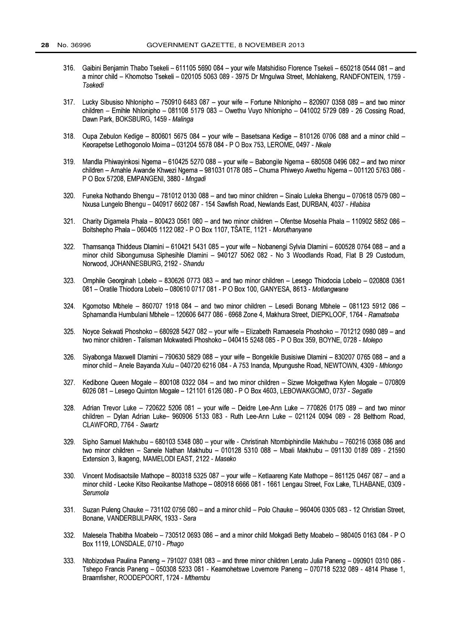- 316. Gaibini Benjamin Thabo Tsekeli - 611105 5690 084 - your wife Matshidiso Florence Tsekeli - 650218 0544 081 - and a minor child - Khomotso Tsekeli - 020105 5063 089 - 3975 Dr Mngulwa Street, Mohlakeng, RANDFONTEIN, 1759 -Tsekedi
- $317.$ Lucky Sibusiso Nhlonipho – 750910 6483 087 – your wife – Fortune Nhlonipho – 820907 0358 089 – and two minor children - Emihle Nhlonipho - 081108 5179 083 - Owethu Vuvo Nhlonipho - 041002 5729 089 - 26 Cossing Road. Dawn Park, BOKSBURG, 1459 - Malinga
- 318. Oupa Zebulon Kedige - 800601 5675 084 - your wife - Basetsana Kedige - 810126 0706 088 and a minor child -Keorapetse Letlhogonolo Moima - 031204 5578 084 - P O Box 753, LEROME, 0497 - Nkele
- Mandla Phiwayinkosi Ngema 610425 5270 088 your wife Babongile Ngema 680508 0496 082 and two minor 319. children – Amahle Awande Khwezi Naema – 981031 0178 085 – Chuma Phiweyo Awethu Naema – 001120 5763 086 -P O Box 57208, EMPANGENI, 3880 - Mnaadi
- $320.$ Funeka Nothando Bhengu - 781012 0130 088 - and two minor children - Sinalo Luleka Bhengu - 070618 0579 080 -Nxusa Lungelo Bhengu - 040917 6602 087 - 154 Sawfish Road, Newlands East, DURBAN, 4037 - Hlabisa
- $321.$ Charity Digamela Phala - 800423 0561 080 - and two minor children - Ofentse Mosehla Phala - 110902 5852 086 -Boitshepho Phala - 060405 1122 082 - P O Box 1107, TŠATE, 1121 - Moruthanyane
- 322. Thamsanga Thiddeus Dlamini - 610421 5431 085 - your wife - Nobanengi Sylvia Dlamini - 600528 0764 088 - and a minor child Sibongumusa Siphesihle Dlamini - 940127 5062 082 - No 3 Woodlands Road, Flat B 29 Custodum. Norwood, JOHANNESBURG, 2192 - Shandu
- 323. Omphile Georginah Lobelo - 830626 0773 083 - and two minor children - Lesego Thiodocia Lobelo - 020808 0361 081 - Oratile Thiodora Lobelo - 080610 0717 081 - P O Box 100, GANYESA, 8613 - Motlangwane
- $324.$ Kaomotso Mbhele - 860707 1918 084 - and two minor children - Lesedi Bonang Mbhele - 081123 5912 086 -Sphamandla Humbulani Mbhele - 120606 6477 086 - 6968 Zone 4. Makhura Street, DIEPKLOOF, 1764 - Ramatseba
- $325.$ Novce Sekwati Phoshoko - 680928 5427 082 - vour wife - Elizabeth Ramaesela Phoshoko - 701212 0980 089 - and two minor children - Talisman Mokwatedi Phoshoko - 040415 5248 085 - P O Box 359, BOYNE, 0728 - Molepo
- 326. Sivabonga Maxwell Dlamini - 790630 5829 088 - vour wife - Bongekile Busisiwe Dlamini - 830207 0765 088 - and a minor child - Anele Bayanda Xulu - 040720 6216 084 - A 753 Inanda, Mpungushe Road, NEWTOWN, 4309 - Mhlongo
- Kedibone Queen Mogale 800108 0322 084 and two minor children Sizwe Mokgethwa Kylen Mogale 070809  $327.$ 6026 081 - Lesego Quinton Mogale - 121101 6126 080 - P O Box 4603, LEBOWAKGOMO, 0737 - Segatle
- $328.$ Adrian Trevor Luke - 720622 5206 081 - your wife - Deidre Lee-Ann Luke - 770826 0175 089 - and two minor children - Dylan Adrian Luke- 960906 5133 083 - Ruth Lee-Ann Luke - 021124 0094 089 - 28 Belthorn Road. CLAWFORD, 7764 - Swartz
- 329. Sipho Samuel Makhubu - 680103 5348 080 - your wife - Christinah Ntombiphindile Makhubu - 760216 0368 086 and two minor children - Sanele Nathan Makhubu - 010128 5310 088 - Mbali Makhubu - 091130 0189 089 - 21590 Extension 3, Ikageng, MAMELODI EAST, 2122 - Maseko
- 330. Vincent Modisaotsile Mathope - 800318 5325 087 - your wife - Ketlaareng Kate Mathope - 861125 0467 087 - and a minor child - Leoke Kitso Reoikantse Mathope - 080918 6666 081 - 1661 Lengau Street, Fox Lake, TLHABANE, 0309 -Serumola
- 331. Suzan Puleng Chauke - 731102 0756 080 - and a minor child - Polo Chauke - 960406 0305 083 - 12 Christian Street, Bonane, VANDERBIJLPARK, 1933 - Sera
- 332. Malesela Thabitha Moabelo - 730512 0693 086 - and a minor child Mokgadi Betty Moabelo - 980405 0163 084 - P O Box 1119. LONSDALE, 0710 - Phago
- Ntobizodwa Paulina Paneng 791027 0381 083 and three minor children Lerato Julia Paneng 090901 0310 086 -333. Tshepo Francis Paneng - 050308 5233 081 - Keamohetswe Lovemore Paneng - 070718 5232 089 - 4814 Phase 1. Braamfisher, ROODEPOORT, 1724 - Mthembu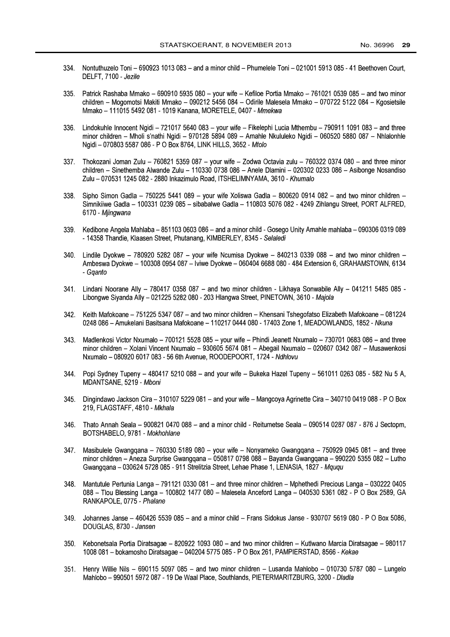- 334. Nontuthuzelo Toni - 690923 1013 083 - and a minor child - Phumelele Toni - 021001 5913 085 - 41 Beethoven Court. DELFT, 7100 - Jezile
- 335. Patrick Rashaba Mmako - 690910 5935 080 - your wife - Kefiloe Portia Mmako - 761021 0539 085 - and two minor children – Mogomotsi Makiti Mmako – 090212 5456 084 – Odirile Malesela Mmako – 070722 5122 084 – Kgosietsile Mmako - 111015 5492 081 - 1019 Kanana, MORETELE, 0407 - Mmekwa
- 336. Lindokuhle Innocent Ngidi - 721017 5640 083 - your wife - Fikelephi Lucia Mthembu - 790911 1091 083 - and three minor children - Mholi s'nathi Ngidi - 970128 5894 089 - Amahle Nkululeko Ngidi - 060520 5880 087 - Nhlalonhle Ngidi - 070803 5587 086 - P O Box 8764, LINK HILLS, 3652 - Mtolo
- 337. Thokozani Joman Zulu - 760821 5359 087 - your wife - Zodwa Octavia zulu - 760322 0374 080 - and three minor children – Sinethemba Alwande Zulu – 110330 0738 086 – Anele Dlamini – 020302 0233 086 – Asibonge Nosandiso Zulu - 070531 1245 082 - 2880 Inkazimulo Road, ITSHELIMNYAMA, 3610 - Khumalo
- Sipho Simon Gadla 750225 5441 089 your wife Xoliswa Gadla 800620 0914 082 and two minor children -338. Simnikiiwe Gadla - 100331 0239 085 - sibabalwe Gadla - 110803 5076 082 - 4249 Zihlangu Street, PORT ALFRED. 6170 - Miinawana
- 339. Kedibone Angela Mahlaba - 851103 0603 086 - and a minor child - Gosego Unity Amahle mahlaba - 090306 0319 089 - 14358 Thandie, Klaasen Street, Phutanang, KIMBERLEY, 8345 - Selaledi
- Lindile Dvokwe 780920 5282 087 vour wife Ncumisa Dvokwe 840213 0339 088 and two minor children - $340.$ Ambeswa Dyokwe - 100308 0954 087 - Iviwe Dyokwe - 060404 6688 080 - 484 Extension 6, GRAHAMSTOWN, 6134 - Gaanto
- $341.$ Lindani Noorane Ally - 780417 0358 087 - and two minor children - Likhaya Sonwabile Ally - 041211 5485 085 -Libonawe Sivanda Ally - 021225 5282 080 - 203 Hlangwa Street, PINETOWN, 3610 - Majola
- Keith Mafokoane 751225 5347 087 and two minor children Khensani Tshegofatso Elizabeth Mafokoane 081224  $342.$ 0248 086 - Amukelani Basitsana Mafokoane - 110217 0444 080 - 17403 Zone 1, MEADOWLANDS, 1852 - Nkuna
- Madlenkosi Victor Nxumalo 700121 5528 085 your wife Phindi Jeanett Nxumalo 730701 0683 086 and three  $343.$ minor children - Xolani Vincent Nxumalo - 930605 5674 081 - Abegail Nxumalo - 020607 0342 087 - Musawenkosi Nxumalo - 080920 6017 083 - 56 6th Avenue, ROODEPOORT, 1724 - Ndhlovu
- 344 Popi Sydney Tupeny - 480417 5210 088 - and your wife - Bukeka Hazel Tupeny - 561011 0263 085 - 582 Nu 5 A. MDANTSANE, 5219 - Mboni
- $345.$ Dingindawo Jackson Cira - 310107 5229 081 - and your wife - Mangcoya Agrinette Cira - 340710 0419 088 - P O Box 219, FLAGSTAFF, 4810 - Mkhala
- Thato Annah Seala 900821 0470 088 and a minor child Reitumetse Seala 090514 0287 087 876 J Sectopm, 346. BOTSHABELO, 9781 - Mokhohlane
- 347. Masibulele Gwangqana - 760330 5189 080 - your wife - Nonyameko Gwangqana - 750929 0945 081 - and three minor children - Aneza Surprise Gwanggana - 050817 0798 088 - Bayanda Gwanggana - 990220 5355 082 - Lutho Gwanggana - 030624 5728 085 - 911 Strelitzia Street, Lehae Phase 1, LENASIA, 1827 - Mgugu
- Mantutule Pertunia Langa 791121 0330 081 and three minor children Mphethedi Precious Langa 030222 0405 348. 088 - Tlou Blessing Langa - 100802 1477 080 - Malesela Anceford Langa - 040530 5361 082 - P O Box 2589, GA RANKAPOLE, 0775 - Phalane
- 349. Johannes Janse - 460426 5539 085 - and a minor child - Frans Sidokus Janse - 930707 5619 080 - P O Box 5086. DOUGLAS, 8730 - Jansen
- $350.$ Kebonetsala Portia Diratsagae - 820922 1093 080 - and two minor children - Kutlwano Marcia Diratsagae - 980117 1008 081 - bokamosho Diratsagae - 040204 5775 085 - P O Box 261, PAMPIERSTAD, 8566 - Kekae
- Henry Willie Nils 690115 5097 085 and two minor children Lusanda Mahlobo 010730 5787 080 Lungelo  $351.$ Mahlobo - 990501 5972 087 - 19 De Waal Place, Southlands, PIETERMARITZBURG, 3200 - Dladla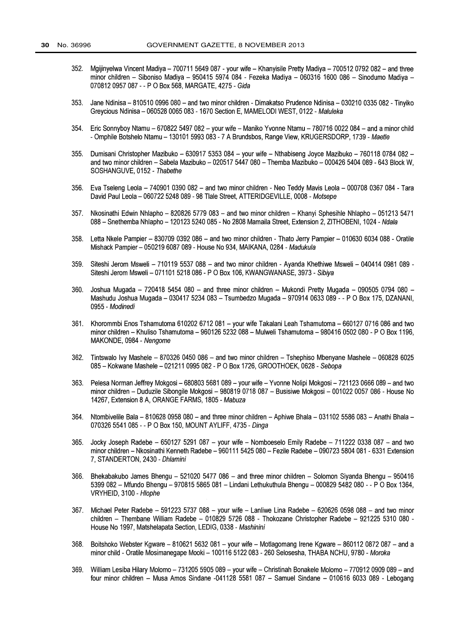- Mgijinyelwa Vincent Madiya 700711 5649 087 your wife Khanyisile Pretty Madiya 700512 0792 082 and three  $352.$ minor children - Siboniso Madiya - 950415 5974 084 - Fezeka Madiya - 060316 1600 086 - Sinodumo Madiya -070812 0957 087 - - P O Box 568, MARGATE, 4275 - Gida
- 353. Jane Ndinisa – 810510 0996 080 – and two minor children - Dimakatso Prudence Ndinisa – 030210 0335 082 - Tinviko Grevcious Ndinisa - 060528 0065 083 - 1670 Section E. MAMELODI WEST, 0122 - Maluleka
- 354. Eric Sonnyboy Ntamu - 670822 5497 082 - your wife - Maniko Yvonne Ntamu - 780716 0022 084 - and a minor child - Omphile Botshelo Ntamu - 130101 5993 083 - 7 A Brundsbos, Range View, KRUGERSDORP, 1739 - Maetle
- $355.$ Dumisani Christopher Mazibuko - 630917 5353 084 - your wife - Nthabiseng Joyce Mazibuko - 760118 0784 082 and two minor children - Sabela Mazibuko - 020517 5447 080 - Themba Mazibuko - 000426 5404 089 - 643 Block W. SOSHANGUVE, 0152 - Thabethe
- 356. Eva Tseleng Leola - 740901 0390 082 - and two minor children - Neo Teddy Mavis Leola - 000708 0367 084 - Tara David Paul Leola - 060722 5248 089 - 98 Tlale Street, ATTERIDGEVILLE, 0008 - Motsepe
- 357. Nkosinathi Edwin Nhlapho 820826 5779 083 and two minor children Khanyi Sphesihle Nhlapho 051213 5471 088 - Snethemba Nhlapho - 120123 5240 085 - No 2808 Mamaila Street, Extension 2, ZITHOBENI, 1024 - Ndala
- Letta Nkele Pampier 830709 0392 086 and two minor children Thato Jerry Pampier 010630 6034 088 Oratile 358 Mishack Pampier - 050219 6087 089 - House No 934, MAIKANA, 0284 - Madukula
- 359 Siteshi Jerom Msweli - 710119 5537 088 - and two minor children - Ayanda Khethiwe Msweli - 040414 0981 089 -Siteshi Jerom Msweli - 071101 5218 086 - P O Box 106, KWANGWANASE, 3973 - Sibiya
- Joshua Mugada 720418 5454 080 and three minor children Mukondi Pretty Mugada 090505 0794 080 -360 Mashudu Joshua Mugada - 030417 5234 083 - Tsumbedzo Mugada - 970914 0633 089 - - P O Box 175, DZANANI, 0955 - Modinedi
- Khorommbi Enos Tshamutoma 610202 6712 081 your wife Takalani Leah Tshamutoma 660127 0716 086 and two  $361.$ minor children - Khuliso Tshamutoma - 960126 5232 088 - Mulweli Tshamutoma - 980416 0502 080 - P O Box 1196, MAKONDE, 0984 - Nengome
- Tintswalo Ivy Mashele 870326 0450 086 and two minor children Tshephiso Mbenyane Mashele 060828 6025 362. 085 - Kokwane Mashele - 021211 0995 082 - P O Box 1726, GROOTHOEK, 0628 - Sebopa
- Pelesa Norman Jeffrey Mokgosi 680803 5681 089 your wife Yvonne Nolipi Mokgosi 721123 0666 089 and two 363. minor children - Duduzile Sibongile Mokgosi - 980819 0718 087 - Busisiwe Mokgosi - 001022 0057 086 - House No 14267, Extension 8 A, ORANGE FARMS, 1805 - Mabuza
- 364. Ntombivelile Bala - 810628 0958 080 - and three minor children - Aphiwe Bhala - 031102 5586 083 - Anathi Bhala -070326 5541 085 - - P O Box 150, MOUNT AYLIFF, 4735 - Dinga
- 365. Jocky Joseph Radebe - 650127 5291 087 - your wife - Nomboeselo Emily Radebe - 711222 0338 087 - and two minor children - Nkosinathi Kenneth Radebe - 960111 5425 080 - Fezile Radebe - 090723 5804 081 - 6331 Extension 7, STANDERTON, 2430 - Dhlamini
- 366. Bhekabakubo James Bhengu - 521020 5477 086 - and three minor children - Solomon Siyanda Bhengu - 950416 5399 082 - Mfundo Bhengu - 970815 5865 081 - Lindani Lethukuthula Bhengu - 000829 5482 080 - - P O Box 1364. VRYHEID, 3100 - Hlophe
- $367.$ Michael Peter Radebe - 591223 5737 088 - your wife - Lanliwe Lina Radebe - 620626 0598 088 - and two minor children - Thembane William Radebe - 010829 5726 088 - Thokozane Christopher Radebe - 921225 5310 080 -House No 1997, Matshelapata Section, LEDIG, 0338 - Mashinini
- Boitshoko Webster Kgware 810621 5632 081 your wife Motlagomang Irene Kgware 860112 0872 087 and a 368. minor child - Oratile Mosimanegape Mooki - 100116 5122 083 - 260 Selosesha, THABA NCHU, 9780 - Moroka
- 369. William Lesiba Hilary Molomo - 731205 5905 089 - your wife - Christinah Bonakele Molomo - 770912 0909 089 - and four minor children - Musa Amos Sindane -041128 5581 087 - Samuel Sindane - 010616 6033 089 - Lebogang